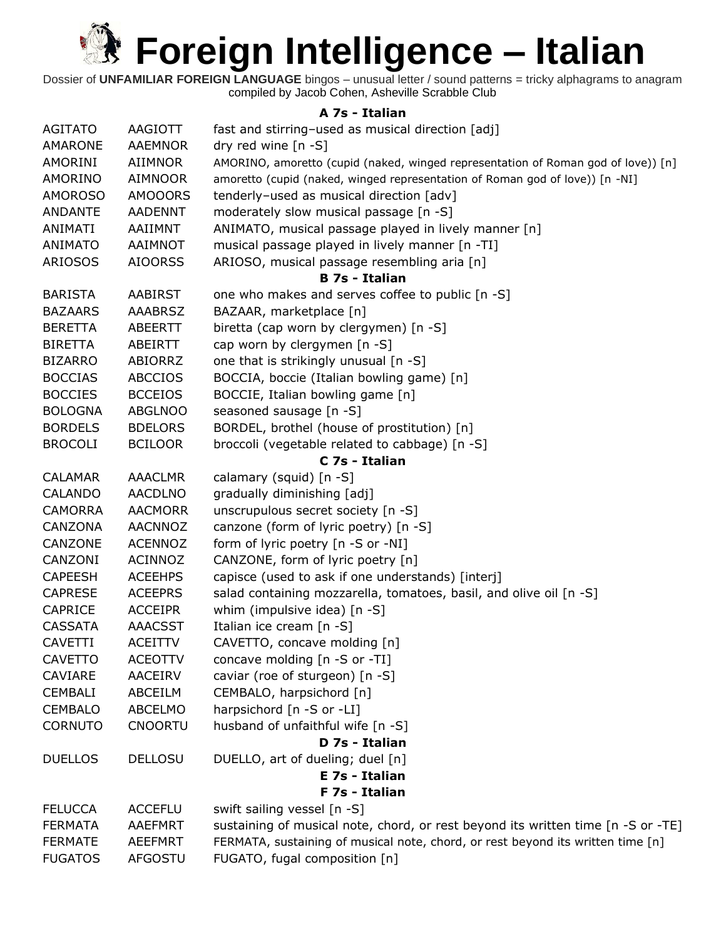Dossier of **UNFAMILIAR FOREIGN LANGUAGE** bingos – unusual letter / sound patterns = tricky alphagrams to anagram compiled by Jacob Cohen, Asheville Scrabble Club

#### **A 7s - Italian**

| <b>AGITATO</b> | AAGIOTT        | fast and stirring-used as musical direction [adj]                                 |
|----------------|----------------|-----------------------------------------------------------------------------------|
| AMARONE        | <b>AAEMNOR</b> | dry red wine $[n - S]$                                                            |
| AMORINI        | <b>AIIMNOR</b> | AMORINO, amoretto (cupid (naked, winged representation of Roman god of love)) [n] |
| AMORINO        | <b>AIMNOOR</b> | amoretto (cupid (naked, winged representation of Roman god of love)) [n -NI]      |
| <b>AMOROSO</b> | <b>AMOOORS</b> | tenderly-used as musical direction [adv]                                          |
| <b>ANDANTE</b> | <b>AADENNT</b> | moderately slow musical passage [n -S]                                            |
| ANIMATI        | AAIIMNT        | ANIMATO, musical passage played in lively manner [n]                              |
| <b>ANIMATO</b> | AAIMNOT        | musical passage played in lively manner [n -TI]                                   |
| <b>ARIOSOS</b> | <b>AIOORSS</b> | ARIOSO, musical passage resembling aria [n]                                       |
|                |                | <b>B 7s - Italian</b>                                                             |
| <b>BARISTA</b> | <b>AABIRST</b> | one who makes and serves coffee to public [n -S]                                  |
| <b>BAZAARS</b> | <b>AAABRSZ</b> | BAZAAR, marketplace [n]                                                           |
| <b>BERETTA</b> | ABEERTT        | biretta (cap worn by clergymen) [n -S]                                            |
| <b>BIRETTA</b> | ABEIRTT        | cap worn by clergymen [n -S]                                                      |
| <b>BIZARRO</b> | ABIORRZ        | one that is strikingly unusual [n -S]                                             |
| <b>BOCCIAS</b> | <b>ABCCIOS</b> | BOCCIA, boccie (Italian bowling game) [n]                                         |
| <b>BOCCIES</b> | <b>BCCEIOS</b> | BOCCIE, Italian bowling game [n]                                                  |
| <b>BOLOGNA</b> | <b>ABGLNOO</b> | seasoned sausage [n -S]                                                           |
| <b>BORDELS</b> | <b>BDELORS</b> | BORDEL, brothel (house of prostitution) [n]                                       |
| <b>BROCOLI</b> | <b>BCILOOR</b> | broccoli (vegetable related to cabbage) [n -S]                                    |
|                |                | C 7s - Italian                                                                    |
| <b>CALAMAR</b> | <b>AAACLMR</b> | calamary (squid) [n -S]                                                           |
| <b>CALANDO</b> | <b>AACDLNO</b> | gradually diminishing [adj]                                                       |
| <b>CAMORRA</b> | <b>AACMORR</b> | unscrupulous secret society [n -S]                                                |
| CANZONA        | <b>AACNNOZ</b> | canzone (form of lyric poetry) [n -S]                                             |
| CANZONE        | <b>ACENNOZ</b> | form of lyric poetry [n -S or -NI]                                                |
| CANZONI        | <b>ACINNOZ</b> | CANZONE, form of lyric poetry [n]                                                 |
| <b>CAPEESH</b> | <b>ACEEHPS</b> | capisce (used to ask if one understands) [interj]                                 |
| <b>CAPRESE</b> | <b>ACEEPRS</b> | salad containing mozzarella, tomatoes, basil, and olive oil [n -S]                |
| <b>CAPRICE</b> | <b>ACCEIPR</b> | whim (impulsive idea) [n -S]                                                      |
| <b>CASSATA</b> | <b>AAACSST</b> | Italian ice cream [n -S]                                                          |
| <b>CAVETTI</b> | <b>ACEITTV</b> | CAVETTO, concave molding [n]                                                      |
| <b>CAVETTO</b> | <b>ACEOTTV</b> | concave molding [n -S or -TI]                                                     |
| CAVIARE        | <b>AACEIRV</b> | caviar (roe of sturgeon) [n -S]                                                   |
| <b>CEMBALI</b> | ABCEILM        | CEMBALO, harpsichord [n]                                                          |
| <b>CEMBALO</b> | <b>ABCELMO</b> | harpsichord [n -S or -LI]                                                         |
| <b>CORNUTO</b> | <b>CNOORTU</b> | husband of unfaithful wife [n -S]                                                 |
|                |                | D 7s - Italian                                                                    |
| <b>DUELLOS</b> | <b>DELLOSU</b> | DUELLO, art of dueling; duel [n]                                                  |
|                |                | E 7s - Italian                                                                    |
|                |                | F 7s - Italian                                                                    |
| <b>FELUCCA</b> | <b>ACCEFLU</b> | swift sailing vessel [n -S]                                                       |
| <b>FERMATA</b> | <b>AAEFMRT</b> | sustaining of musical note, chord, or rest beyond its written time [n -S or -TE]  |
| <b>FERMATE</b> | <b>AEEFMRT</b> | FERMATA, sustaining of musical note, chord, or rest beyond its written time [n]   |
| <b>FUGATOS</b> | AFGOSTU        | FUGATO, fugal composition [n]                                                     |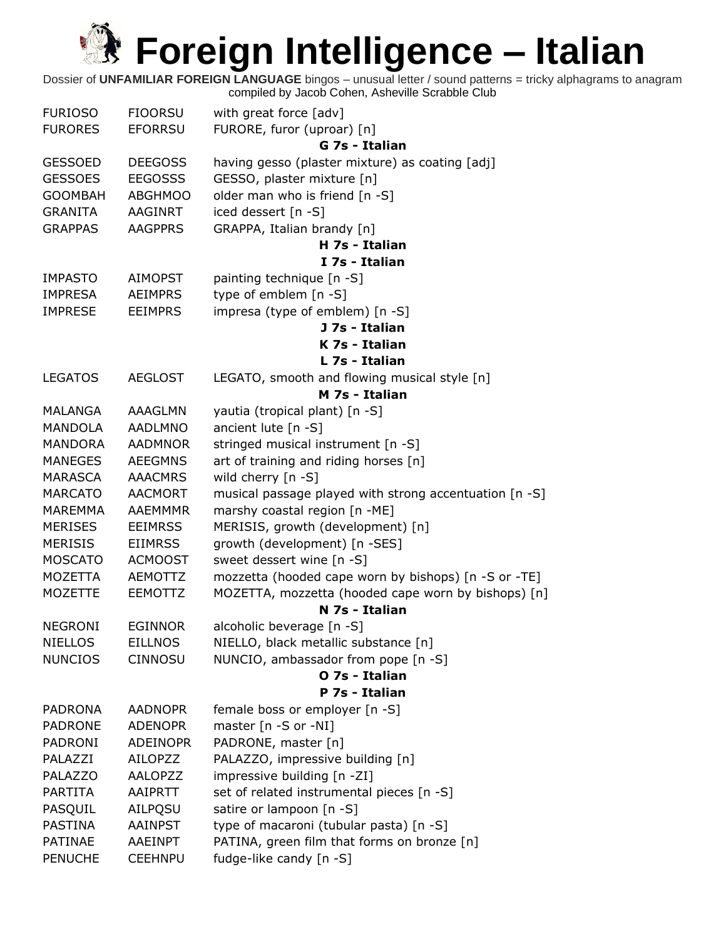| <b>FURIOSO</b> | <b>FIOORSU</b>  | with great force [adv]                                 |
|----------------|-----------------|--------------------------------------------------------|
| <b>FURORES</b> | <b>EFORRSU</b>  | FURORE, furor (uproar) [n]                             |
|                |                 | G 7s - Italian                                         |
| <b>GESSOED</b> | <b>DEEGOSS</b>  | having gesso (plaster mixture) as coating [adj]        |
| <b>GESSOES</b> | <b>EEGOSSS</b>  | GESSO, plaster mixture [n]                             |
| <b>GOOMBAH</b> | <b>ABGHMOO</b>  | older man who is friend [n -S]                         |
| <b>GRANITA</b> | AAGINRT         | iced dessert [n -S]                                    |
| <b>GRAPPAS</b> | <b>AAGPPRS</b>  | GRAPPA, Italian brandy [n]                             |
|                |                 | H 7s - Italian                                         |
|                |                 | I 7s - Italian                                         |
| <b>IMPASTO</b> | <b>AIMOPST</b>  | painting technique [n -S]                              |
| <b>IMPRESA</b> | <b>AEIMPRS</b>  | type of emblem [n -S]                                  |
| <b>IMPRESE</b> | <b>EEIMPRS</b>  | impresa (type of emblem) [n -S]                        |
|                |                 | J 7s - Italian                                         |
|                |                 | K 7s - Italian                                         |
|                |                 | L 7s - Italian                                         |
| <b>LEGATOS</b> | <b>AEGLOST</b>  | LEGATO, smooth and flowing musical style [n]           |
|                |                 | M 7s - Italian                                         |
| MALANGA        | AAAGLMN         | yautia (tropical plant) [n -S]                         |
| <b>MANDOLA</b> | <b>AADLMNO</b>  | ancient lute [n -S]                                    |
| <b>MANDORA</b> | <b>AADMNOR</b>  | stringed musical instrument [n -S]                     |
| <b>MANEGES</b> | <b>AEEGMNS</b>  | art of training and riding horses [n]                  |
| MARASCA        | <b>AAACMRS</b>  | wild cherry [n -S]                                     |
| <b>MARCATO</b> | <b>AACMORT</b>  | musical passage played with strong accentuation [n -S] |
| <b>MAREMMA</b> | AAEMMMR         | marshy coastal region [n -ME]                          |
| <b>MERISES</b> | <b>EEIMRSS</b>  | MERISIS, growth (development) [n]                      |
| <b>MERISIS</b> | <b>EIIMRSS</b>  | growth (development) [n -SES]                          |
| <b>MOSCATO</b> | <b>ACMOOST</b>  | sweet dessert wine [n -S]                              |
| MOZETTA        | AEMOTTZ         | mozzetta (hooded cape worn by bishops) [n -S or -TE]   |
| <b>MOZETTE</b> | EEMOTTZ         | MOZETTA, mozzetta (hooded cape worn by bishops) [n]    |
|                |                 | N 7s - Italian                                         |
| <b>NEGRONI</b> | <b>EGINNOR</b>  | alcoholic beverage [n -S]                              |
| <b>NIELLOS</b> | <b>EILLNOS</b>  | NIELLO, black metallic substance [n]                   |
| <b>NUNCIOS</b> | <b>CINNOSU</b>  | NUNCIO, ambassador from pope [n -S]                    |
|                |                 | O 7s - Italian                                         |
|                |                 | P 7s - Italian                                         |
| <b>PADRONA</b> | <b>AADNOPR</b>  | female boss or employer [n -S]                         |
| <b>PADRONE</b> | <b>ADENOPR</b>  | master [n -S or -NI]                                   |
| <b>PADRONI</b> | <b>ADEINOPR</b> | PADRONE, master [n]                                    |
| PALAZZI        | AILOPZZ         | PALAZZO, impressive building [n]                       |
| PALAZZO        | <b>AALOPZZ</b>  | impressive building [n -ZI]                            |
| <b>PARTITA</b> | AAIPRTT         | set of related instrumental pieces [n -S]              |
| PASQUIL        | AILPQSU         | satire or lampoon [n -S]                               |
| <b>PASTINA</b> | <b>AAINPST</b>  | type of macaroni (tubular pasta) [n -S]                |
| <b>PATINAE</b> | AAEINPT         | PATINA, green film that forms on bronze [n]            |
| <b>PENUCHE</b> | <b>CEEHNPU</b>  | fudge-like candy [n -S]                                |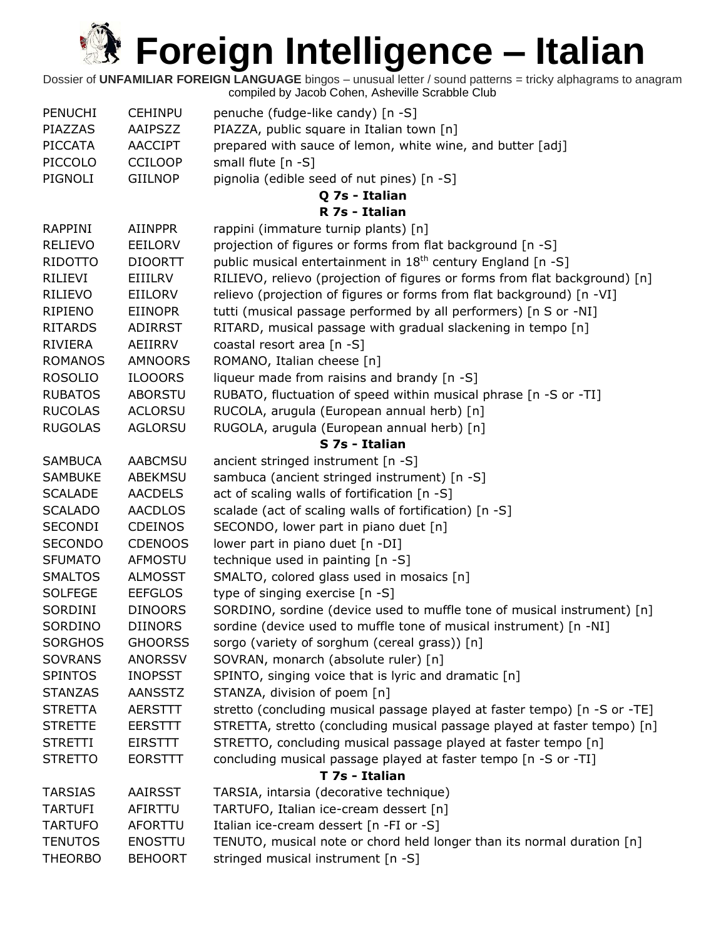| <b>PENUCHI</b> | <b>CEHINPU</b> | penuche (fudge-like candy) [n -S]                                          |
|----------------|----------------|----------------------------------------------------------------------------|
| PIAZZAS        | AAIPSZZ        | PIAZZA, public square in Italian town [n]                                  |
| <b>PICCATA</b> | <b>AACCIPT</b> | prepared with sauce of lemon, white wine, and butter [adj]                 |
| PICCOLO        | <b>CCILOOP</b> | small flute [n -S]                                                         |
| PIGNOLI        | <b>GIILNOP</b> | pignolia (edible seed of nut pines) [n -S]                                 |
|                |                | Q 7s - Italian                                                             |
|                |                | R 7s - Italian                                                             |
| <b>RAPPINI</b> | <b>AIINPPR</b> | rappini (immature turnip plants) [n]                                       |
| <b>RELIEVO</b> | <b>EEILORV</b> | projection of figures or forms from flat background [n -S]                 |
| RIDOTTO        | <b>DIOORTT</b> | public musical entertainment in 18 <sup>th</sup> century England [n -S]    |
| RILIEVI        | <b>EIIILRV</b> | RILIEVO, relievo (projection of figures or forms from flat background) [n] |
| RILIEVO        | EIILORV        | relievo (projection of figures or forms from flat background) [n -VI]      |
| <b>RIPIENO</b> | <b>EIINOPR</b> | tutti (musical passage performed by all performers) [n S or -NI]           |
| <b>RITARDS</b> | <b>ADIRRST</b> | RITARD, musical passage with gradual slackening in tempo [n]               |
| RIVIERA        | AEIIRRV        | coastal resort area [n -S]                                                 |
| <b>ROMANOS</b> | <b>AMNOORS</b> | ROMANO, Italian cheese [n]                                                 |
| <b>ROSOLIO</b> | <b>ILOOORS</b> | liqueur made from raisins and brandy [n -S]                                |
| <b>RUBATOS</b> | <b>ABORSTU</b> | RUBATO, fluctuation of speed within musical phrase [n -S or -TI]           |
| <b>RUCOLAS</b> | <b>ACLORSU</b> | RUCOLA, arugula (European annual herb) [n]                                 |
| <b>RUGOLAS</b> | <b>AGLORSU</b> | RUGOLA, arugula (European annual herb) [n]                                 |
|                |                | S 7s - Italian                                                             |
| <b>SAMBUCA</b> | <b>AABCMSU</b> | ancient stringed instrument [n -S]                                         |
| <b>SAMBUKE</b> | <b>ABEKMSU</b> | sambuca (ancient stringed instrument) [n -S]                               |
| <b>SCALADE</b> | <b>AACDELS</b> | act of scaling walls of fortification [n -S]                               |
| <b>SCALADO</b> | <b>AACDLOS</b> | scalade (act of scaling walls of fortification) [n -S]                     |
| <b>SECONDI</b> | <b>CDEINOS</b> | SECONDO, lower part in piano duet [n]                                      |
| SECONDO        | <b>CDENOOS</b> | lower part in piano duet [n -DI]                                           |
| <b>SFUMATO</b> | <b>AFMOSTU</b> | technique used in painting [n -S]                                          |
|                | <b>ALMOSST</b> |                                                                            |
| <b>SMALTOS</b> |                | SMALTO, colored glass used in mosaics [n]                                  |
| <b>SOLFEGE</b> | <b>EEFGLOS</b> | type of singing exercise [n -S]                                            |
| SORDINI        | <b>DINOORS</b> | SORDINO, sordine (device used to muffle tone of musical instrument) [n]    |
| SORDINO        | <b>DIINORS</b> | sordine (device used to muffle tone of musical instrument) [n -NI]         |
| <b>SORGHOS</b> | <b>GHOORSS</b> | sorgo (variety of sorghum (cereal grass)) [n]                              |
| <b>SOVRANS</b> | <b>ANORSSV</b> | SOVRAN, monarch (absolute ruler) [n]                                       |
| <b>SPINTOS</b> | <b>INOPSST</b> | SPINTO, singing voice that is lyric and dramatic [n]                       |
| <b>STANZAS</b> | <b>AANSSTZ</b> | STANZA, division of poem [n]                                               |
| <b>STRETTA</b> | <b>AERSTTT</b> | stretto (concluding musical passage played at faster tempo) [n -S or -TE]  |
| <b>STRETTE</b> | <b>EERSTTT</b> | STRETTA, stretto (concluding musical passage played at faster tempo) [n]   |
| <b>STRETTI</b> | <b>EIRSTTT</b> | STRETTO, concluding musical passage played at faster tempo [n]             |
| <b>STRETTO</b> | <b>EORSTTT</b> | concluding musical passage played at faster tempo [n -S or -TI]            |
|                |                | T 7s - Italian                                                             |
| <b>TARSIAS</b> | <b>AAIRSST</b> | TARSIA, intarsia (decorative technique)                                    |
| <b>TARTUFI</b> | AFIRTTU        | TARTUFO, Italian ice-cream dessert [n]                                     |
| <b>TARTUFO</b> | AFORTTU        | Italian ice-cream dessert [n -FI or -S]                                    |
| <b>TENUTOS</b> | <b>ENOSTTU</b> | TENUTO, musical note or chord held longer than its normal duration [n]     |
| <b>THEORBO</b> | <b>BEHOORT</b> | stringed musical instrument [n -S]                                         |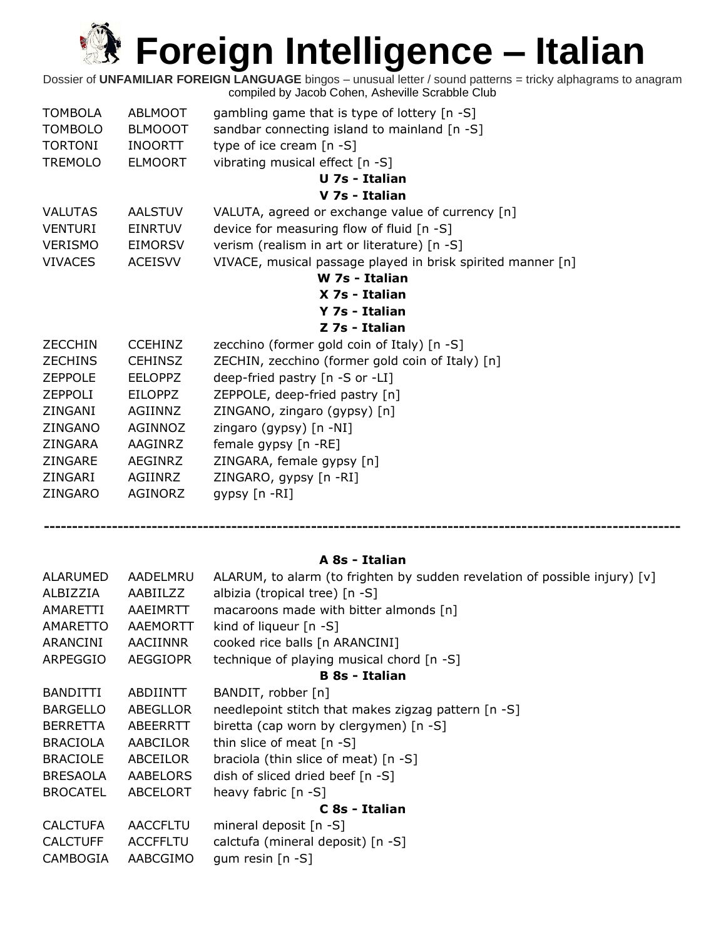Dossier of **UNFAMILIAR FOREIGN LANGUAGE** bingos – unusual letter / sound patterns = tricky alphagrams to anagram compiled by Jacob Cohen, Asheville Scrabble Club

| <b>TOMBOLA</b> | ABLMOOT        | gambling game that is type of lottery $[n - S]$             |
|----------------|----------------|-------------------------------------------------------------|
| <b>TOMBOLO</b> | <b>BLMOOOT</b> | sandbar connecting island to mainland [n -S]                |
| <b>TORTONI</b> | <b>INOORTT</b> | type of ice cream $[n - S]$                                 |
| <b>TREMOLO</b> | <b>ELMOORT</b> | vibrating musical effect [n -S]                             |
|                |                | U 7s - Italian                                              |
|                |                | V 7s - Italian                                              |
| <b>VALUTAS</b> | <b>AALSTUV</b> | VALUTA, agreed or exchange value of currency [n]            |
| <b>VENTURI</b> | <b>EINRTUV</b> | device for measuring flow of fluid [n -S]                   |
| <b>VERISMO</b> | <b>EIMORSV</b> | verism (realism in art or literature) [n -S]                |
| <b>VIVACES</b> | <b>ACEISVV</b> | VIVACE, musical passage played in brisk spirited manner [n] |
|                |                | W 7s - Italian                                              |
|                |                | X 7s - Italian                                              |
|                |                | Y 7s - Italian                                              |
|                |                | Z 7s - Italian                                              |
| <b>ZECCHIN</b> | <b>CCEHINZ</b> | zecchino (former gold coin of Italy) [n -S]                 |
| <b>ZECHINS</b> | <b>CEHINSZ</b> | ZECHIN, zecchino (former gold coin of Italy) [n]            |
| <b>ZEPPOLE</b> | <b>EELOPPZ</b> | deep-fried pastry [n -S or -LI]                             |
| <b>ZEPPOLI</b> | <b>EILOPPZ</b> | ZEPPOLE, deep-fried pastry [n]                              |
| ZINGANI        | AGIINNZ        | ZINGANO, zingaro (gypsy) [n]                                |
| ZINGANO        | AGINNOZ        | zingaro (gypsy) [n -NI]                                     |
| ZINGARA        | AAGINRZ        | female gypsy [n -RE]                                        |
| <b>ZINGARE</b> | AEGINRZ        | ZINGARA, female gypsy [n]                                   |
| ZINGARI        | AGIINRZ        | ZINGARO, gypsy [n -RI]                                      |
| ZINGARO        | AGINORZ        | gypsy [n -RI]                                               |

**----------------------------------------------------------------------------------------------------------------**

#### **A 8s - Italian**

| ALARUMED        | AADELMRU        | ALARUM, to alarm (to frighten by sudden revelation of possible injury) $[v]$ |  |
|-----------------|-----------------|------------------------------------------------------------------------------|--|
| ALBIZZIA        | AABIILZZ        | albizia (tropical tree) [n -S]                                               |  |
| AMARETTI        | AAEIMRTT        | macaroons made with bitter almonds [n]                                       |  |
| AMARETTO        | AAEMORTT        | kind of liqueur $[n - S]$                                                    |  |
| ARANCINI        | AACIINNR        | cooked rice balls [n ARANCINI]                                               |  |
| ARPEGGIO        | <b>AEGGIOPR</b> | technique of playing musical chord [n -S]                                    |  |
|                 |                 | <b>B</b> 8s - Italian                                                        |  |
| <b>BANDITTI</b> | ABDIINTT        | BANDIT, robber [n]                                                           |  |
| <b>BARGELLO</b> | ABEGLLOR        | needlepoint stitch that makes zigzag pattern [n -S]                          |  |
| <b>BERRETTA</b> | ABEERRTT        | biretta (cap worn by clergymen) [n -S]                                       |  |
| <b>BRACIOLA</b> | AABCILOR        | thin slice of meat $[n - S]$                                                 |  |
| <b>BRACIOLE</b> | ABCEILOR        | braciola (thin slice of meat) $[n -S]$                                       |  |
| <b>BRESAOLA</b> | AABELORS        | dish of sliced dried beef [n -S]                                             |  |
| <b>BROCATEL</b> | ABCELORT        | heavy fabric $[n -S]$                                                        |  |
| C 8s - Italian  |                 |                                                                              |  |
| <b>CALCTUFA</b> | <b>AACCFLTU</b> | mineral deposit [n -S]                                                       |  |
| <b>CALCTUFF</b> | <b>ACCFFLTU</b> | calctufa (mineral deposit) [n -S]                                            |  |
| CAMBOGIA        | AABCGIMO        | gum resin $[n - S]$                                                          |  |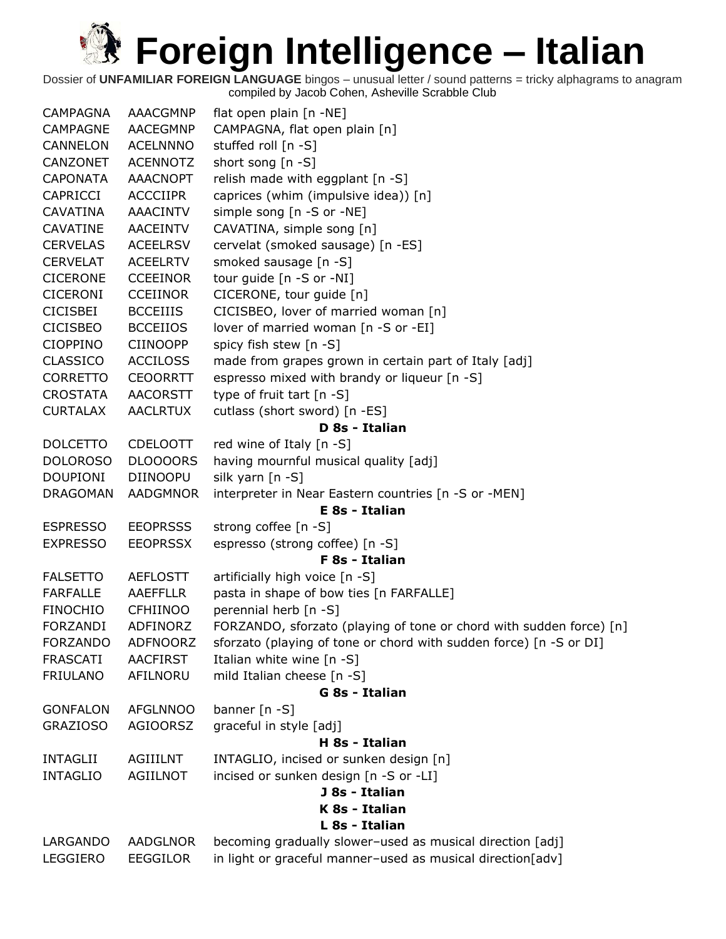| <b>CAMPAGNA</b> | <b>AAACGMNP</b> | flat open plain [n -NE]                                             |
|-----------------|-----------------|---------------------------------------------------------------------|
| <b>CAMPAGNE</b> | <b>AACEGMNP</b> | CAMPAGNA, flat open plain [n]                                       |
| CANNELON        | <b>ACELNNNO</b> | stuffed roll [n -S]                                                 |
| CANZONET        | <b>ACENNOTZ</b> | short song [n -S]                                                   |
| <b>CAPONATA</b> | <b>AAACNOPT</b> | relish made with eggplant [n -S]                                    |
| <b>CAPRICCI</b> | <b>ACCCIIPR</b> | caprices (whim (impulsive idea)) [n]                                |
| <b>CAVATINA</b> | <b>AAACINTV</b> | simple song [n -S or -NE]                                           |
| CAVATINE        | AACEINTV        | CAVATINA, simple song [n]                                           |
| <b>CERVELAS</b> | <b>ACEELRSV</b> | cervelat (smoked sausage) [n -ES]                                   |
| <b>CERVELAT</b> | <b>ACEELRTV</b> | smoked sausage [n -S]                                               |
| <b>CICERONE</b> | <b>CCEEINOR</b> | tour guide [n -S or -NI]                                            |
| <b>CICERONI</b> | <b>CCEIINOR</b> | CICERONE, tour guide [n]                                            |
| <b>CICISBEI</b> | <b>BCCEIIIS</b> | CICISBEO, lover of married woman [n]                                |
| <b>CICISBEO</b> | <b>BCCEIIOS</b> | lover of married woman [n -S or -EI]                                |
| <b>CIOPPINO</b> | <b>CIINOOPP</b> | spicy fish stew [n -S]                                              |
| <b>CLASSICO</b> | <b>ACCILOSS</b> | made from grapes grown in certain part of Italy [adj]               |
| <b>CORRETTO</b> | <b>CEOORRTT</b> | espresso mixed with brandy or liqueur [n -S]                        |
| <b>CROSTATA</b> | <b>AACORSTT</b> | type of fruit tart [n -S]                                           |
| <b>CURTALAX</b> | <b>AACLRTUX</b> | cutlass (short sword) [n -ES]                                       |
|                 |                 | D 8s - Italian                                                      |
| <b>DOLCETTO</b> | <b>CDELOOTT</b> | red wine of Italy [n -S]                                            |
| <b>DOLOROSO</b> | DLOOOORS        | having mournful musical quality [adj]                               |
| <b>DOUPIONI</b> | <b>DIINOOPU</b> | silk yarn [n -S]                                                    |
| <b>DRAGOMAN</b> | <b>AADGMNOR</b> | interpreter in Near Eastern countries [n -S or -MEN]                |
|                 |                 | E 8s - Italian                                                      |
| <b>ESPRESSO</b> | <b>EEOPRSSS</b> | strong coffee [n -S]                                                |
| <b>EXPRESSO</b> | <b>EEOPRSSX</b> | espresso (strong coffee) [n -S]                                     |
|                 |                 | F 8s - Italian                                                      |
| <b>FALSETTO</b> | <b>AEFLOSTT</b> | artificially high voice [n -S]                                      |
| <b>FARFALLE</b> | <b>AAEFFLLR</b> | pasta in shape of bow ties [n FARFALLE]                             |
| <b>FINOCHIO</b> | <b>CFHIINOO</b> | perennial herb [n -S]                                               |
| <b>FORZANDI</b> | ADFINORZ        | FORZANDO, sforzato (playing of tone or chord with sudden force) [n] |
| <b>FORZANDO</b> | <b>ADFNOORZ</b> | sforzato (playing of tone or chord with sudden force) [n -S or DI]  |
| <b>FRASCATI</b> | <b>AACFIRST</b> | Italian white wine [n -S]                                           |
| <b>FRIULANO</b> | AFILNORU        | mild Italian cheese [n -S]                                          |
|                 |                 | G 8s - Italian                                                      |
| <b>GONFALON</b> | <b>AFGLNNOO</b> | banner [n -S]                                                       |
| <b>GRAZIOSO</b> | <b>AGIOORSZ</b> | graceful in style [adj]                                             |
|                 |                 | H 8s - Italian                                                      |
| <b>INTAGLII</b> | <b>AGIIILNT</b> | INTAGLIO, incised or sunken design [n]                              |
| <b>INTAGLIO</b> | <b>AGIILNOT</b> | incised or sunken design [n -S or -LI]                              |
|                 |                 | J 8s - Italian                                                      |
|                 |                 | K 8s - Italian                                                      |
|                 |                 | L 8s - Italian                                                      |
| LARGANDO        | AADGLNOR        | becoming gradually slower-used as musical direction [adj]           |
| LEGGIERO        | <b>EEGGILOR</b> | in light or graceful manner-used as musical direction[adv]          |
|                 |                 |                                                                     |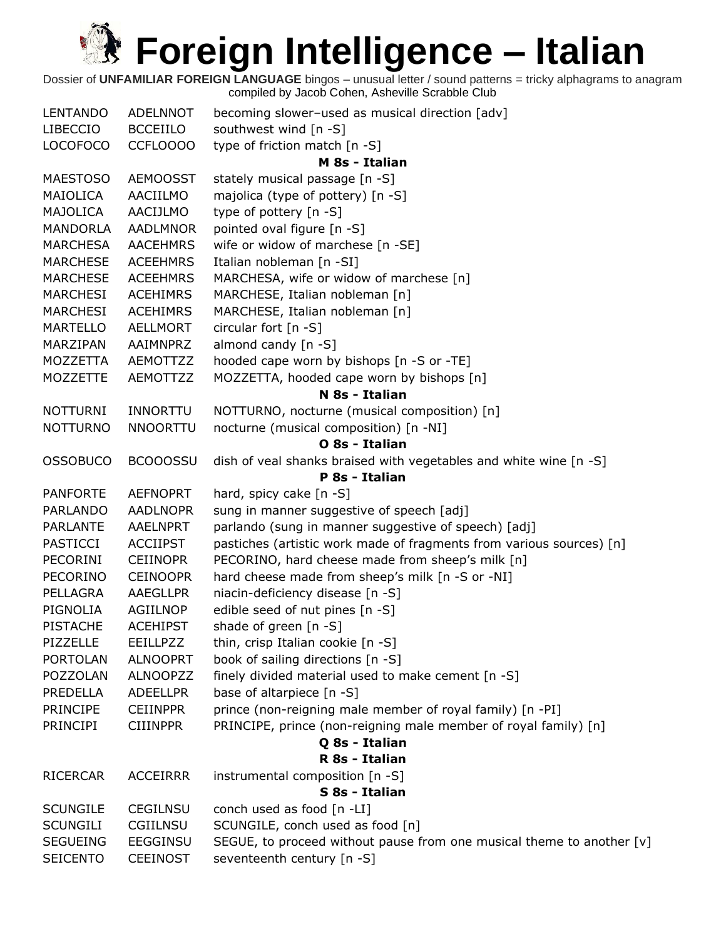| <b>LENTANDO</b> | <b>ADELNNOT</b> | becoming slower-used as musical direction [adv]                       |
|-----------------|-----------------|-----------------------------------------------------------------------|
| <b>LIBECCIO</b> | <b>BCCEIILO</b> | southwest wind [n -S]                                                 |
| <b>LOCOFOCO</b> | CCFLOOOO        | type of friction match [n -S]                                         |
|                 |                 | M 8s - Italian                                                        |
| <b>MAESTOSO</b> | <b>AEMOOSST</b> | stately musical passage [n -S]                                        |
| MAIOLICA        | AACIILMO        | majolica (type of pottery) [n -S]                                     |
| MAJOLICA        | AACIJLMO        | type of pottery [n -S]                                                |
| <b>MANDORLA</b> | <b>AADLMNOR</b> | pointed oval figure [n -S]                                            |
| <b>MARCHESA</b> | <b>AACEHMRS</b> | wife or widow of marchese [n -SE]                                     |
| <b>MARCHESE</b> | <b>ACEEHMRS</b> | Italian nobleman [n -SI]                                              |
| <b>MARCHESE</b> | <b>ACEEHMRS</b> | MARCHESA, wife or widow of marchese [n]                               |
| MARCHESI        | <b>ACEHIMRS</b> | MARCHESE, Italian nobleman [n]                                        |
| MARCHESI        | <b>ACEHIMRS</b> | MARCHESE, Italian nobleman [n]                                        |
| <b>MARTELLO</b> | <b>AELLMORT</b> | circular fort $[n -S]$                                                |
| MARZIPAN        | AAIMNPRZ        | almond candy $[n - S]$                                                |
| MOZZETTA        | AEMOTTZZ        | hooded cape worn by bishops [n -S or -TE]                             |
| <b>MOZZETTE</b> | AEMOTTZZ        | MOZZETTA, hooded cape worn by bishops [n]                             |
|                 |                 | N 8s - Italian                                                        |
| <b>NOTTURNI</b> | <b>INNORTTU</b> | NOTTURNO, nocturne (musical composition) [n]                          |
| <b>NOTTURNO</b> | <b>NNOORTTU</b> | nocturne (musical composition) [n -NI]                                |
|                 |                 | O 8s - Italian                                                        |
| <b>OSSOBUCO</b> | <b>BCOOOSSU</b> | dish of veal shanks braised with vegetables and white wine [n -S]     |
|                 |                 | P 8s - Italian                                                        |
| <b>PANFORTE</b> | <b>AEFNOPRT</b> | hard, spicy cake [n -S]                                               |
| <b>PARLANDO</b> | <b>AADLNOPR</b> | sung in manner suggestive of speech [adj]                             |
| <b>PARLANTE</b> | AAELNPRT        | parlando (sung in manner suggestive of speech) [adj]                  |
| PASTICCI        | <b>ACCIIPST</b> | pastiches (artistic work made of fragments from various sources) [n]  |
| PECORINI        | <b>CEIINOPR</b> | PECORINO, hard cheese made from sheep's milk [n]                      |
| <b>PECORINO</b> | <b>CEINOOPR</b> | hard cheese made from sheep's milk [n -S or -NI]                      |
| PELLAGRA        | <b>AAEGLLPR</b> | niacin-deficiency disease [n -S]                                      |
| PIGNOLIA        | AGIILNOP        | edible seed of nut pines [n -S]                                       |
| <b>PISTACHE</b> | <b>ACEHIPST</b> | shade of green [n -S]                                                 |
| PIZZELLE        | EEILLPZZ        | thin, crisp Italian cookie [n -S]                                     |
| <b>PORTOLAN</b> | <b>ALNOOPRT</b> | book of sailing directions [n -S]                                     |
| POZZOLAN        | <b>ALNOOPZZ</b> | finely divided material used to make cement [n -S]                    |
| PREDELLA        | <b>ADEELLPR</b> | base of altarpiece [n -S]                                             |
| <b>PRINCIPE</b> | <b>CEIINPPR</b> | prince (non-reigning male member of royal family) [n -PI]             |
| <b>PRINCIPI</b> | <b>CIIINPPR</b> | PRINCIPE, prince (non-reigning male member of royal family) [n]       |
|                 |                 | Q 8s - Italian                                                        |
|                 |                 | R 8s - Italian                                                        |
| <b>RICERCAR</b> | <b>ACCEIRRR</b> | instrumental composition [n -S]                                       |
|                 |                 | S 8s - Italian                                                        |
| <b>SCUNGILE</b> | <b>CEGILNSU</b> | conch used as food $[n - LI]$                                         |
| <b>SCUNGILI</b> | CGIILNSU        | SCUNGILE, conch used as food [n]                                      |
| <b>SEGUEING</b> | <b>EEGGINSU</b> | SEGUE, to proceed without pause from one musical theme to another [v] |
| <b>SEICENTO</b> | <b>CEEINOST</b> | seventeenth century [n -S]                                            |